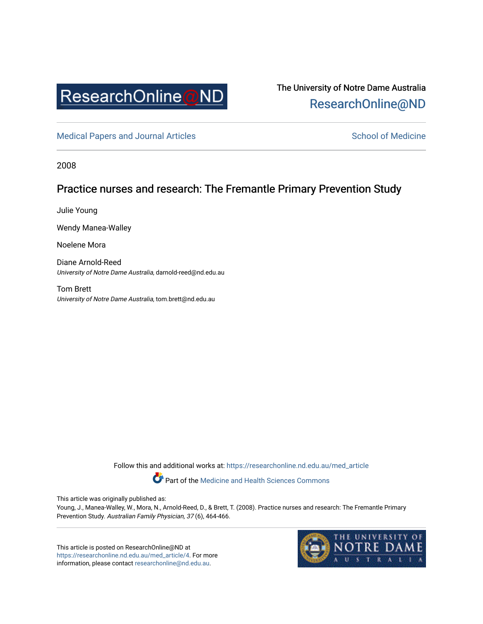

The University of Notre Dame Australia [ResearchOnline@ND](https://researchonline.nd.edu.au/) 

[Medical Papers and Journal Articles](https://researchonline.nd.edu.au/med_article) and School of Medicine

2008

# Practice nurses and research: The Fremantle Primary Prevention Study

Julie Young

Wendy Manea-Walley

Noelene Mora

Diane Arnold-Reed University of Notre Dame Australia, darnold-reed@nd.edu.au

Tom Brett University of Notre Dame Australia, tom.brett@nd.edu.au

Follow this and additional works at: [https://researchonline.nd.edu.au/med\\_article](https://researchonline.nd.edu.au/med_article?utm_source=researchonline.nd.edu.au%2Fmed_article%2F4&utm_medium=PDF&utm_campaign=PDFCoverPages) 

Part of the [Medicine and Health Sciences Commons](http://network.bepress.com/hgg/discipline/648?utm_source=researchonline.nd.edu.au%2Fmed_article%2F4&utm_medium=PDF&utm_campaign=PDFCoverPages)

This article was originally published as:

Young, J., Manea-Walley, W., Mora, N., Arnold-Reed, D., & Brett, T. (2008). Practice nurses and research: The Fremantle Primary Prevention Study. Australian Family Physician, 37 (6), 464-466.

This article is posted on ResearchOnline@ND at [https://researchonline.nd.edu.au/med\\_article/4](https://researchonline.nd.edu.au/med_article/4). For more information, please contact [researchonline@nd.edu.au.](mailto:researchonline@nd.edu.au)

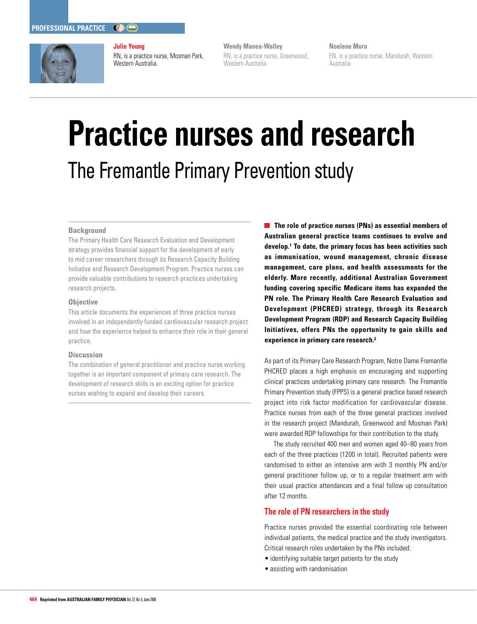

**Julie Young** 

RN, is a practice nurse, Mosman Park, Western Australia.

**Wendy Manea-Walley**  RN, is a practice nurse, Greenwood, Western Australia.

**Noelene Mora** EN, is a practice nurse, Mandurah, Western Australia.

# **Practice nurses and research** The Fremantle Primary Prevention study

#### **Background**

The Primary Health Care Research Evaluation and Development strategy provides financial support for the development of early to mid career researchers through its Research Capacity Building Initiative and Research Development Program. Practice nurses can provide valuable contributions to research practices undertaking research projects.

#### **Objective**

This article documents the experiences of three practice nurses involved in an independently funded cardiovascular research project and how the experience helped to enhance their role in their general practice.

#### **Discussion**

The combination of general practitioner and practice nurse working together is an important component of primary care research. The development of research skills is an exciting option for practice nurses wishing to expand and develop their careers.

**The role of practice nurses (PNs) as essential members of Australian general practice teams continues to evolve and develop.1 To date, the primary focus has been activities such as immunisation, wound management, chronic disease management, care plans, and health assessments for the elderly. More recently, additional Australian Government funding covering specific Medicare items has expanded the PN role. The Primary Health Care Research Evaluation and Development (PHCRED) strategy, through its Research Development Program (RDP) and Research Capacity Building Initiatives, offers PNs the opportunity to gain skills and experience in primary care research.2**

As part of its Primary Care Research Program, Notre Dame Fremantle PHCRED places a high emphasis on encouraging and supporting clinical practices undertaking primary care research. The Fremantle Primary Prevention study (FPPS) is a general practice based research project into risk factor modification for cardiovascular disease. Practice nurses from each of the three general practices involved in the research project (Mandurah, Greenwood and Mosman Park) were awarded RDP fellowships for their contribution to the study.

The study recruited 400 men and women aged 40–80 years from each of the three practices (1200 in total). Recruited patients were randomised to either an intensive arm with 3 monthly PN and/or general practitioner follow up, or to a regular treatment arm with their usual practice attendances and a final follow up consultation after 12 months.

### **The role of PN researchers in the study**

Practice nurses provided the essential coordinating role between individual patients, the medical practice and the study investigators. Critical research roles undertaken by the PNs included:

- identifying suitable target patients for the study
- assisting with randomisation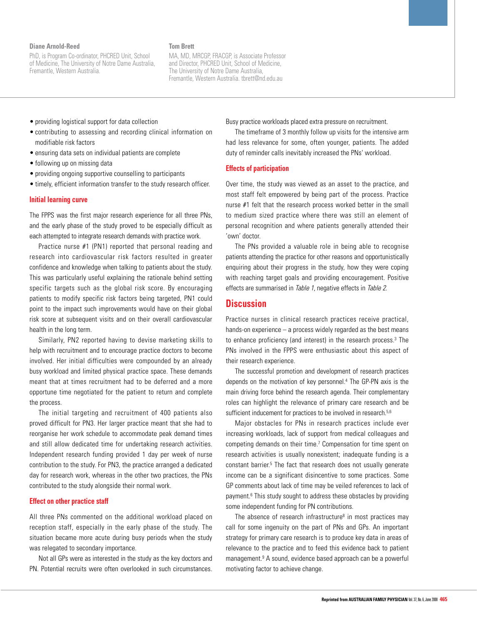#### **Diane Arnold-Reed**

PhD, is Program Co-ordinator, PHCRED Unit, School of Medicine, The University of Notre Dame Australia, Fremantle, Western Australia.

#### **Tom Brett**

MA, MD, MRCGP, FRACGP, is Associate Professor and Director, PHCRED Unit, School of Medicine, The University of Notre Dame Australia, Fremantle, Western Australia. tbrett@nd.edu.au

- providing logistical support for data collection
- • contributing to assessing and recording clinical information on modifiable risk factors
- ensuring data sets on individual patients are complete
- following up on missing data
- providing ongoing supportive counselling to participants
- timely, efficient information transfer to the study research officer.

#### **Initial learning curve**

The FPPS was the first major research experience for all three PNs, and the early phase of the study proved to be especially difficult as each attempted to integrate research demands with practice work.

Practice nurse #1 (PN1) reported that personal reading and research into cardiovascular risk factors resulted in greater confidence and knowledge when talking to patients about the study. This was particularly useful explaining the rationale behind setting specific targets such as the global risk score. By encouraging patients to modify specific risk factors being targeted, PN1 could point to the impact such improvements would have on their global risk score at subsequent visits and on their overall cardiovascular health in the long term.

Similarly, PN2 reported having to devise marketing skills to help with recruitment and to encourage practice doctors to become involved. Her initial difficulties were compounded by an already busy workload and limited physical practice space. These demands meant that at times recruitment had to be deferred and a more opportune time negotiated for the patient to return and complete the process.

The initial targeting and recruitment of 400 patients also proved difficult for PN3. Her larger practice meant that she had to reorganise her work schedule to accommodate peak demand times and still allow dedicated time for undertaking research activities. Independent research funding provided 1 day per week of nurse contribution to the study. For PN3, the practice arranged a dedicated day for research work, whereas in the other two practices, the PNs contributed to the study alongside their normal work.

#### **Effect on other practice staff**

All three PNs commented on the additional workload placed on reception staff, especially in the early phase of the study. The situation became more acute during busy periods when the study was relegated to secondary importance.

Not all GPs were as interested in the study as the key doctors and PN. Potential recruits were often overlooked in such circumstances.

Busy practice workloads placed extra pressure on recruitment.

The timeframe of 3 monthly follow up visits for the intensive arm had less relevance for some, often younger, patients. The added duty of reminder calls inevitably increased the PNs' workload.

#### **Effects of participation**

Over time, the study was viewed as an asset to the practice, and most staff felt empowered by being part of the process. Practice nurse #1 felt that the research process worked better in the small to medium sized practice where there was still an element of personal recognition and where patients generally attended their 'own' doctor.

The PNs provided a valuable role in being able to recognise patients attending the practice for other reasons and opportunistically enquiring about their progress in the study, how they were coping with reaching target goals and providing encouragement. Positive effects are summarised in Table 1, negative effects in Table 2.

## **Discussion**

Practice nurses in clinical research practices receive practical, hands-on experience – a process widely regarded as the best means to enhance proficiency (and interest) in the research process.<sup>3</sup> The PNs involved in the FPPS were enthusiastic about this aspect of their research experience.

The successful promotion and development of research practices depends on the motivation of key personnel.4 The GP-PN axis is the main driving force behind the research agenda. Their complementary roles can highlight the relevance of primary care research and be sufficient inducement for practices to be involved in research.<sup>5,6</sup>

Major obstacles for PNs in research practices include ever increasing workloads, lack of support from medical colleagues and competing demands on their time.<sup>7</sup> Compensation for time spent on research activities is usually nonexistent; inadequate funding is a constant barrier.<sup>5</sup> The fact that research does not usually generate income can be a significant disincentive to some practices. Some GP comments about lack of time may be veiled references to lack of payment.<sup>6</sup> This study sought to address these obstacles by providing some independent funding for PN contributions.

The absence of research infrastructure $8$  in most practices may call for some ingenuity on the part of PNs and GPs. An important strategy for primary care research is to produce key data in areas of relevance to the practice and to feed this evidence back to patient management.<sup>9</sup> A sound, evidence based approach can be a powerful motivating factor to achieve change.